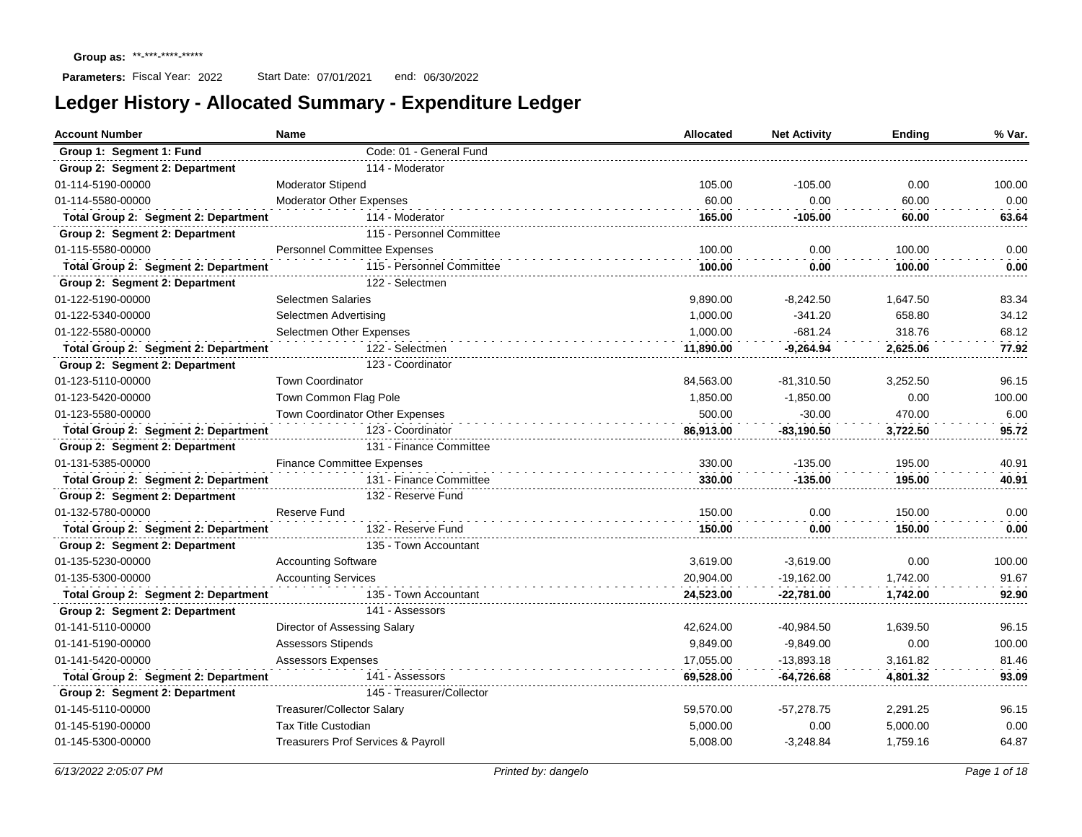| <b>Account Number</b>                | <b>Name</b>                         | Allocated | <b>Net Activity</b> | Ending   | % Var. |
|--------------------------------------|-------------------------------------|-----------|---------------------|----------|--------|
| Group 1: Segment 1: Fund             | Code: 01 - General Fund             |           |                     |          |        |
| Group 2: Segment 2: Department       | 114 - Moderator                     |           |                     |          |        |
| 01-114-5190-00000                    | <b>Moderator Stipend</b>            | 105.00    | $-105.00$           | 0.00     | 100.00 |
| 01-114-5580-00000                    | <b>Moderator Other Expenses</b>     | 60.00     | 0.00                | 60.00    | 0.00   |
| Total Group 2: Segment 2: Department | 114 - Moderator                     | 165.00    | -105.00             | 60.00    | 63.64  |
| Group 2: Segment 2: Department       | 115 - Personnel Committee           |           |                     |          |        |
| 01-115-5580-00000                    | <b>Personnel Committee Expenses</b> | 100.00    | 0.00                | 100.00   | 0.00   |
| Total Group 2: Segment 2: Department | 115 - Personnel Committee           | 100.00    | 0.00                | 100.00   | 0.00   |
| Group 2: Segment 2: Department       | 122 - Selectmen                     |           |                     |          |        |
| 01-122-5190-00000                    | <b>Selectmen Salaries</b>           | 9,890.00  | $-8,242.50$         | 1,647.50 | 83.34  |
| 01-122-5340-00000                    | Selectmen Advertising               | 1,000.00  | $-341.20$           | 658.80   | 34.12  |
| 01-122-5580-00000                    | Selectmen Other Expenses            | 1,000.00  | $-681.24$           | 318.76   | 68.12  |
| Total Group 2: Segment 2: Department | 122 - Selectmen                     | 11.890.00 | $-9.264.94$         | 2.625.06 | 77.92  |
| Group 2: Segment 2: Department       | 123 - Coordinator                   |           |                     |          |        |
| 01-123-5110-00000                    | <b>Town Coordinator</b>             | 84,563.00 | $-81,310.50$        | 3.252.50 | 96.15  |
| 01-123-5420-00000                    | Town Common Flag Pole               | 1,850.00  | $-1,850.00$         | 0.00     | 100.00 |
| 01-123-5580-00000                    | Town Coordinator Other Expenses     | 500.00    | $-30.00$            | 470.00   | 6.00   |
| Total Group 2: Segment 2: Department | 123 - Coordinator                   | 86,913.00 | $-83,190.50$        | 3,722.50 | 95.72  |
| Group 2: Segment 2: Department       | 131 - Finance Committee             |           |                     |          |        |
| 01-131-5385-00000                    | <b>Finance Committee Expenses</b>   | 330.00    | $-135.00$           | 195.00   | 40.91  |
| Total Group 2: Segment 2: Department | 131 - Finance Committee             | 330.00    | $-135.00$           | 195.00   | 40.91  |
| Group 2: Segment 2: Department       | 132 - Reserve Fund                  |           |                     |          |        |
| 01-132-5780-00000                    | Reserve Fund                        | 150.00    | 0.00                | 150.00   | 0.00   |
| Total Group 2: Segment 2: Department | 132 - Reserve Fund                  | 150.00    | 0.00                | 150.00   | 0.00   |
| Group 2: Segment 2: Department       | 135 - Town Accountant               |           |                     |          |        |
| 01-135-5230-00000                    | <b>Accounting Software</b>          | 3,619.00  | $-3,619.00$         | 0.00     | 100.00 |
| 01-135-5300-00000                    | <b>Accounting Services</b>          | 20.904.00 | $-19.162.00$        | 1.742.00 | 91.67  |
| Total Group 2: Segment 2: Department | 135 - Town Accountant               | 24,523.00 | $-22,781.00$        | 1,742.00 | 92.90  |
| Group 2: Segment 2: Department       | 141 - Assessors                     |           |                     |          |        |
| 01-141-5110-00000                    | Director of Assessing Salary        | 42,624.00 | $-40,984.50$        | 1,639.50 | 96.15  |
| 01-141-5190-00000                    | <b>Assessors Stipends</b>           | 9,849.00  | $-9,849.00$         | 0.00     | 100.00 |
| 01-141-5420-00000                    | Assessors Expenses                  | 17,055.00 | $-13,893.18$        | 3,161.82 | 81.46  |
| Total Group 2: Segment 2: Department | 141 - Assessors                     | 69,528.00 | $-64,726.68$        | 4,801.32 | 93.09  |
| Group 2: Segment 2: Department       | 145 - Treasurer/Collector           |           |                     |          |        |
| 01-145-5110-00000                    | <b>Treasurer/Collector Salary</b>   | 59,570.00 | $-57,278.75$        | 2,291.25 | 96.15  |
| 01-145-5190-00000                    | <b>Tax Title Custodian</b>          | 5,000.00  | 0.00                | 5,000.00 | 0.00   |
| 01-145-5300-00000                    | Treasurers Prof Services & Payroll  | 5,008.00  | $-3,248.84$         | 1,759.16 | 64.87  |
|                                      |                                     |           |                     |          |        |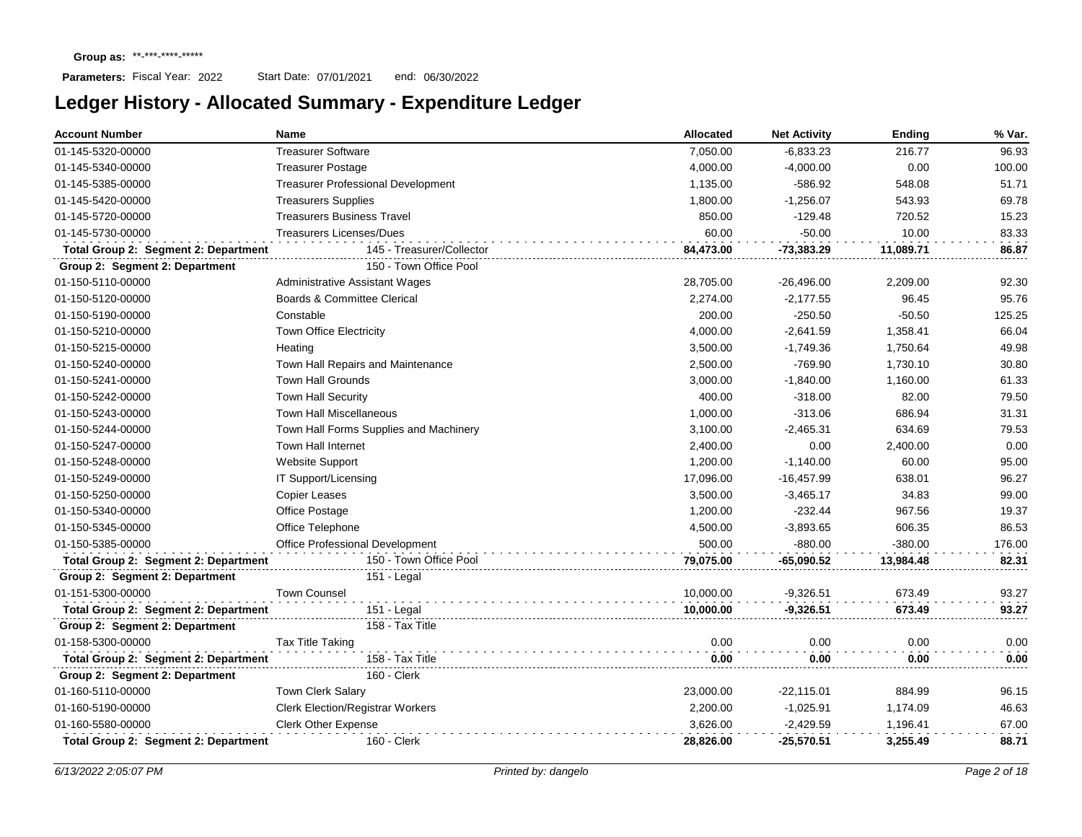| <b>Account Number</b>                | <b>Name</b>                               | Allocated | <b>Net Activity</b> | Ending    | % Var. |
|--------------------------------------|-------------------------------------------|-----------|---------------------|-----------|--------|
| 01-145-5320-00000                    | <b>Treasurer Software</b>                 | 7,050.00  | $-6,833.23$         | 216.77    | 96.93  |
| 01-145-5340-00000                    | <b>Treasurer Postage</b>                  | 4,000.00  | $-4,000.00$         | 0.00      | 100.00 |
| 01-145-5385-00000                    | <b>Treasurer Professional Development</b> | 1,135.00  | $-586.92$           | 548.08    | 51.71  |
| 01-145-5420-00000                    | <b>Treasurers Supplies</b>                | 1,800.00  | $-1,256.07$         | 543.93    | 69.78  |
| 01-145-5720-00000                    | <b>Treasurers Business Travel</b>         | 850.00    | $-129.48$           | 720.52    | 15.23  |
| 01-145-5730-00000                    | <b>Treasurers Licenses/Dues</b>           | 60.00     | $-50.00$            | 10.00     | 83.33  |
| Total Group 2: Segment 2: Department | 145 - Treasurer/Collector                 | 84,473.00 | $-73,383.29$        | 11,089.71 | 86.87  |
| Group 2: Segment 2: Department       | 150 - Town Office Pool                    |           |                     |           |        |
| 01-150-5110-00000                    | <b>Administrative Assistant Wages</b>     | 28,705.00 | $-26,496.00$        | 2,209.00  | 92.30  |
| 01-150-5120-00000                    | Boards & Committee Clerical               | 2,274.00  | $-2,177.55$         | 96.45     | 95.76  |
| 01-150-5190-00000                    | Constable                                 | 200.00    | $-250.50$           | $-50.50$  | 125.25 |
| 01-150-5210-00000                    | Town Office Electricity                   | 4,000.00  | $-2,641.59$         | 1,358.41  | 66.04  |
| 01-150-5215-00000                    | Heating                                   | 3,500.00  | $-1,749.36$         | 1,750.64  | 49.98  |
| 01-150-5240-00000                    | Town Hall Repairs and Maintenance         | 2,500.00  | $-769.90$           | 1,730.10  | 30.80  |
| 01-150-5241-00000                    | <b>Town Hall Grounds</b>                  | 3,000.00  | $-1,840.00$         | 1,160.00  | 61.33  |
| 01-150-5242-00000                    | <b>Town Hall Security</b>                 | 400.00    | $-318.00$           | 82.00     | 79.50  |
| 01-150-5243-00000                    | <b>Town Hall Miscellaneous</b>            | 1,000.00  | $-313.06$           | 686.94    | 31.31  |
| 01-150-5244-00000                    | Town Hall Forms Supplies and Machinery    | 3,100.00  | $-2,465.31$         | 634.69    | 79.53  |
| 01-150-5247-00000                    | <b>Town Hall Internet</b>                 | 2,400.00  | 0.00                | 2,400.00  | 0.00   |
| 01-150-5248-00000                    | <b>Website Support</b>                    | 1,200.00  | $-1,140.00$         | 60.00     | 95.00  |
| 01-150-5249-00000                    | IT Support/Licensing                      | 17,096.00 | $-16,457.99$        | 638.01    | 96.27  |
| 01-150-5250-00000                    | <b>Copier Leases</b>                      | 3,500.00  | $-3,465.17$         | 34.83     | 99.00  |
| 01-150-5340-00000                    | Office Postage                            | 1,200.00  | $-232.44$           | 967.56    | 19.37  |
| 01-150-5345-00000                    | Office Telephone                          | 4,500.00  | $-3,893.65$         | 606.35    | 86.53  |
| 01-150-5385-00000                    | Office Professional Development           | 500.00    | $-880.00$           | $-380.00$ | 176.00 |
| Total Group 2: Segment 2: Department | 150 - Town Office Pool                    | 79,075.00 | $-65,090.52$        | 13,984.48 | 82.31  |
| Group 2: Segment 2: Department       | 151 - Legal                               |           |                     |           |        |
| 01-151-5300-00000                    | <b>Town Counsel</b>                       | 10,000.00 | $-9,326.51$         | 673.49    | 93.27  |
| Total Group 2: Segment 2: Department | $151 -$ Legal                             | 10,000.00 | $-9,326.51$         | 673.49    | 93.27  |
| Group 2: Segment 2: Department       | 158 - Tax Title                           |           |                     |           |        |
| 01-158-5300-00000                    | Tax Title Taking                          | 0.00      | 0.00                | 0.00      | 0.00   |
| Total Group 2: Segment 2: Department | 158 - Tax Title                           | 0.00      | 0.00                | 0.00      | 0.00   |
| Group 2: Segment 2: Department       | 160 - Clerk                               |           |                     |           |        |
| 01-160-5110-00000                    | <b>Town Clerk Salary</b>                  | 23,000.00 | $-22,115.01$        | 884.99    | 96.15  |
| 01-160-5190-00000                    | <b>Clerk Election/Registrar Workers</b>   | 2,200.00  | $-1,025.91$         | 1,174.09  | 46.63  |
| 01-160-5580-00000                    | <b>Clerk Other Expense</b>                | 3,626.00  | $-2,429.59$         | 1,196.41  | 67.00  |
| Total Group 2: Segment 2: Department | 160 - Clerk                               | 28,826.00 | $-25,570.51$        | 3,255.49  | 88.71  |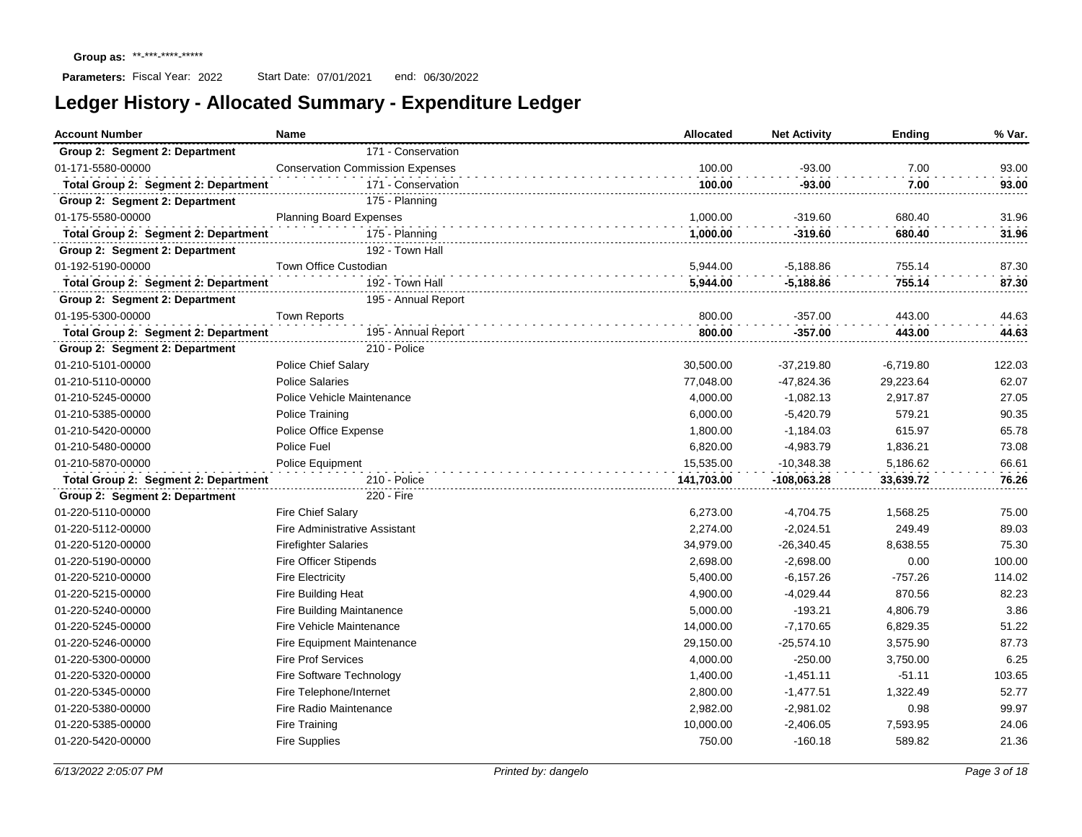| <b>Account Number</b>                | <b>Name</b><br>Allocated                |            | <b>Net Activity</b> | <b>Ending</b> | % Var. |
|--------------------------------------|-----------------------------------------|------------|---------------------|---------------|--------|
| Group 2: Segment 2: Department       | 171 - Conservation                      |            |                     |               |        |
| 01-171-5580-00000                    | <b>Conservation Commission Expenses</b> | 100.00     | $-93.00$            | 7.00          | 93.00  |
| Total Group 2: Segment 2: Department | 171 - Conservation                      | 100.00     | $-93.00$            | 7.00          | 93.00  |
| Group 2: Segment 2: Department       | 175 - Planning                          |            |                     |               |        |
| 01-175-5580-00000                    | Planning Board Expenses                 | 1,000.00   | $-319.60$           | 680.40        | 31.96  |
| Total Group 2: Segment 2: Department | 175 - Planning                          | 1.000.00   | $-319.60$           | 680.40        | 31.96  |
| Group 2: Segment 2: Department       | 192 - Town Hall                         |            |                     |               |        |
| 01-192-5190-00000                    | Town Office Custodian                   | 5,944.00   | $-5,188.86$         | 755.14        | 87.30  |
| Total Group 2: Segment 2: Department | 192 - Town Hall                         | 5,944.00   | $-5,188.86$         | 755.14        | 87.30  |
| Group 2: Segment 2: Department       | 195 - Annual Report                     |            |                     |               |        |
| 01-195-5300-00000                    | <b>Town Reports</b>                     | 800.00     | $-357.00$           | 443.00        | 44.63  |
| Total Group 2: Segment 2: Department | 195 - Annual Report                     | 800.00     | $-357.00$           | 443.00        | 44.63  |
| Group 2: Segment 2: Department       | 210 - Police                            |            |                     |               |        |
| 01-210-5101-00000                    | <b>Police Chief Salary</b>              | 30,500.00  | $-37,219.80$        | $-6,719.80$   | 122.03 |
| 01-210-5110-00000                    | <b>Police Salaries</b>                  | 77,048.00  | $-47,824.36$        | 29,223.64     | 62.07  |
| 01-210-5245-00000                    | Police Vehicle Maintenance              | 4,000.00   | $-1,082.13$         | 2,917.87      | 27.05  |
| 01-210-5385-00000                    | Police Training                         | 6,000.00   | $-5,420.79$         | 579.21        | 90.35  |
| 01-210-5420-00000                    | Police Office Expense                   | 1,800.00   | $-1,184.03$         | 615.97        | 65.78  |
| 01-210-5480-00000                    | Police Fuel                             | 6,820.00   | $-4,983.79$         | 1,836.21      | 73.08  |
| 01-210-5870-00000                    | <b>Police Equipment</b>                 | 15,535.00  | $-10,348.38$        | 5,186.62      | 66.61  |
| Total Group 2: Segment 2: Department | 210 - Police                            | 141,703.00 | -108,063.28         | 33,639.72     | 76.26  |
| Group 2: Segment 2: Department       | 220 - Fire                              |            |                     |               |        |
| 01-220-5110-00000                    | <b>Fire Chief Salary</b>                | 6,273.00   | $-4,704.75$         | 1,568.25      | 75.00  |
| 01-220-5112-00000                    | <b>Fire Administrative Assistant</b>    | 2,274.00   | $-2,024.51$         | 249.49        | 89.03  |
| 01-220-5120-00000                    | <b>Firefighter Salaries</b>             | 34,979.00  | $-26,340.45$        | 8,638.55      | 75.30  |
| 01-220-5190-00000                    | <b>Fire Officer Stipends</b>            | 2,698.00   | $-2,698.00$         | 0.00          | 100.00 |
| 01-220-5210-00000                    | <b>Fire Electricity</b>                 | 5,400.00   | $-6,157.26$         | $-757.26$     | 114.02 |
| 01-220-5215-00000                    | Fire Building Heat                      | 4,900.00   | $-4,029.44$         | 870.56        | 82.23  |
| 01-220-5240-00000                    | <b>Fire Building Maintanence</b>        | 5,000.00   | $-193.21$           | 4,806.79      | 3.86   |
| 01-220-5245-00000                    | Fire Vehicle Maintenance                | 14,000.00  | $-7,170.65$         | 6,829.35      | 51.22  |
| 01-220-5246-00000                    | <b>Fire Equipment Maintenance</b>       | 29,150.00  | $-25,574.10$        | 3,575.90      | 87.73  |
| 01-220-5300-00000                    | <b>Fire Prof Services</b>               | 4,000.00   | $-250.00$           | 3,750.00      | 6.25   |
| 01-220-5320-00000                    | Fire Software Technology                | 1,400.00   | $-1,451.11$         | $-51.11$      | 103.65 |
| 01-220-5345-00000                    | Fire Telephone/Internet                 | 2,800.00   | $-1,477.51$         | 1,322.49      | 52.77  |
| 01-220-5380-00000                    | Fire Radio Maintenance                  | 2,982.00   | $-2,981.02$         | 0.98          | 99.97  |
| 01-220-5385-00000                    | Fire Training                           | 10,000.00  | $-2,406.05$         | 7,593.95      | 24.06  |
| 01-220-5420-00000                    | <b>Fire Supplies</b>                    | 750.00     | $-160.18$           | 589.82        | 21.36  |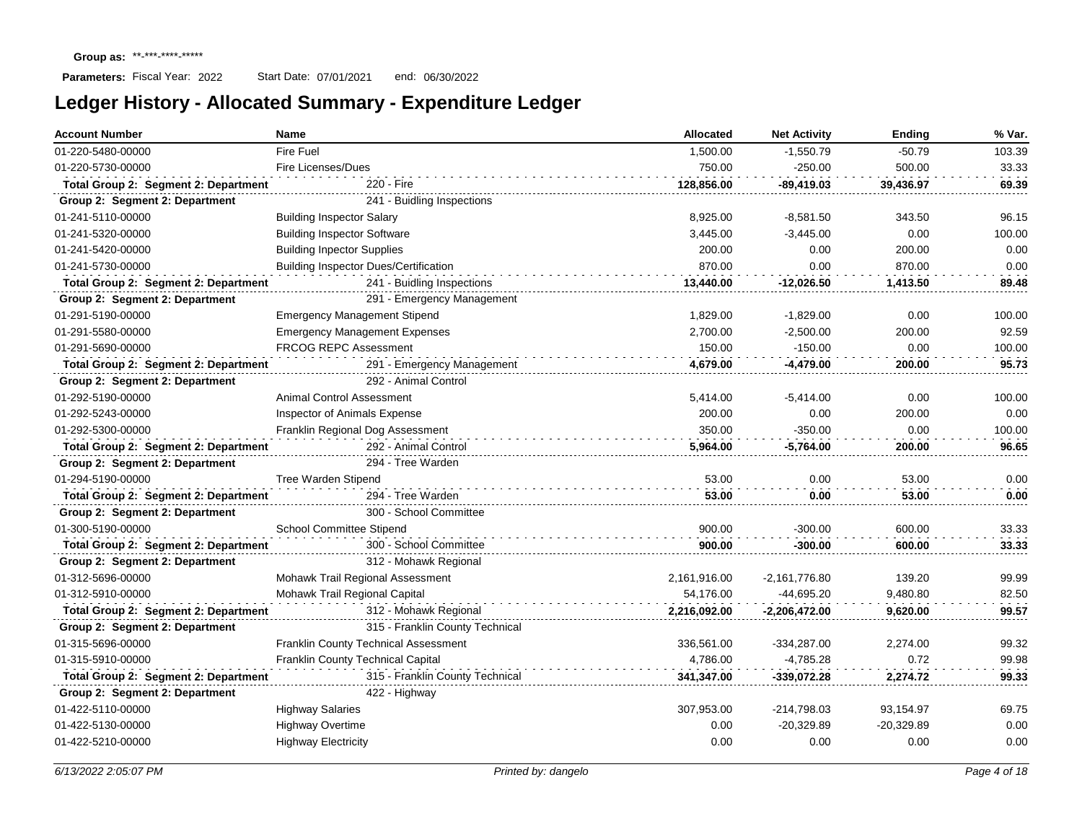| <b>Account Number</b>                | Name                                         | <b>Allocated</b> | <b>Net Activity</b> | <b>Ending</b> | % Var. |
|--------------------------------------|----------------------------------------------|------------------|---------------------|---------------|--------|
| 01-220-5480-00000                    | Fire Fuel                                    | 1,500.00         | $-1,550.79$         | $-50.79$      | 103.39 |
| 01-220-5730-00000                    | <b>Fire Licenses/Dues</b>                    | 750.00           | $-250.00$           | 500.00        | 33.33  |
| Total Group 2: Segment 2: Department | 220 - Fire                                   | 128,856.00       | -89,419.03          | 39,436.97     | 69.39  |
| Group 2: Segment 2: Department       | 241 - Buidling Inspections                   |                  |                     |               |        |
| 01-241-5110-00000                    | <b>Building Inspector Salary</b>             | 8,925.00         | $-8,581.50$         | 343.50        | 96.15  |
| 01-241-5320-00000                    | <b>Building Inspector Software</b>           | 3,445.00         | $-3,445.00$         | 0.00          | 100.00 |
| 01-241-5420-00000                    | <b>Building Inpector Supplies</b>            | 200.00           | 0.00                | 200.00        | 0.00   |
| 01-241-5730-00000                    | <b>Building Inspector Dues/Certification</b> | 870.00           | 0.00                | 870.00        | 0.00   |
| Total Group 2: Segment 2: Department | 241 - Buidling Inspections                   | 13,440.00        | -12,026.50          | 1,413.50      | 89.48  |
| Group 2: Segment 2: Department       | 291 - Emergency Management                   |                  |                     |               |        |
| 01-291-5190-00000                    | <b>Emergency Management Stipend</b>          | 1,829.00         | $-1,829.00$         | 0.00          | 100.00 |
| 01-291-5580-00000                    | <b>Emergency Management Expenses</b>         | 2,700.00         | $-2,500.00$         | 200.00        | 92.59  |
| 01-291-5690-00000                    | <b>FRCOG REPC Assessment</b>                 | 150.00           | $-150.00$           | 0.00          | 100.00 |
| Total Group 2: Segment 2: Department | 291 - Emergency Management                   | 4,679.00         | $-4,479.00$         | 200.00        | 95.73  |
| Group 2: Segment 2: Department       | 292 - Animal Control                         |                  |                     |               |        |
| 01-292-5190-00000                    | <b>Animal Control Assessment</b>             | 5,414.00         | $-5,414.00$         | 0.00          | 100.00 |
| 01-292-5243-00000                    | <b>Inspector of Animals Expense</b>          | 200.00           | 0.00                | 200.00        | 0.00   |
| 01-292-5300-00000                    | Franklin Regional Dog Assessment             | 350.00           | $-350.00$           | 0.00          | 100.00 |
| Total Group 2: Segment 2: Department | 292 - Animal Control                         | 5,964.00         | -5,764.00           | 200.00        | 96.65  |
| Group 2: Segment 2: Department       | 294 - Tree Warden                            |                  |                     |               |        |
| 01-294-5190-00000                    | Tree Warden Stipend                          | 53.00            | 0.00                | 53.00         | 0.00   |
| Total Group 2: Segment 2: Department | 294 - Tree Warden                            | 53.00            | 0.00                | 53.00         | 0.00   |
| Group 2: Segment 2: Department       | 300 - School Committee                       |                  |                     |               |        |
| 01-300-5190-00000                    | School Committee Stipend                     | 900.00           | $-300.00$           | 600.00        | 33.33  |
| Total Group 2: Segment 2: Department | 300 - School Committee                       | 900.00           | $-300.00$           | 600.00        | 33.33  |
| Group 2: Segment 2: Department       | 312 - Mohawk Regional                        |                  |                     |               |        |
| 01-312-5696-00000                    | Mohawk Trail Regional Assessment             | 2,161,916.00     | $-2,161,776.80$     | 139.20        | 99.99  |
| 01-312-5910-00000                    | Mohawk Trail Regional Capital                | 54,176.00        | -44.695.20          | 9.480.80      | 82.50  |
| Total Group 2: Segment 2: Department | 312 - Mohawk Regional                        | 2,216,092.00     | $-2,206,472.00$     | 9,620.00      | 99.57  |
| Group 2: Segment 2: Department       | 315 - Franklin County Technical              |                  |                     |               |        |
| 01-315-5696-00000                    | <b>Franklin County Technical Assessment</b>  | 336.561.00       | $-334,287.00$       | 2.274.00      | 99.32  |
| 01-315-5910-00000                    | Franklin County Technical Capital            | 4.786.00         | $-4,785.28$         | 0.72          | 99.98  |
| Total Group 2: Segment 2: Department | 315 - Franklin County Technical              | 341,347.00       | $-339,072.28$       | 2,274.72      | 99.33  |
| Group 2: Segment 2: Department       | 422 - Highway                                |                  |                     |               |        |
| 01-422-5110-00000                    | <b>Highway Salaries</b>                      | 307,953.00       | $-214,798.03$       | 93,154.97     | 69.75  |
| 01-422-5130-00000                    | <b>Highway Overtime</b>                      | 0.00             | $-20,329.89$        | $-20,329.89$  | 0.00   |
| 01-422-5210-00000                    | <b>Highway Electricity</b>                   | 0.00             | 0.00                | 0.00          | 0.00   |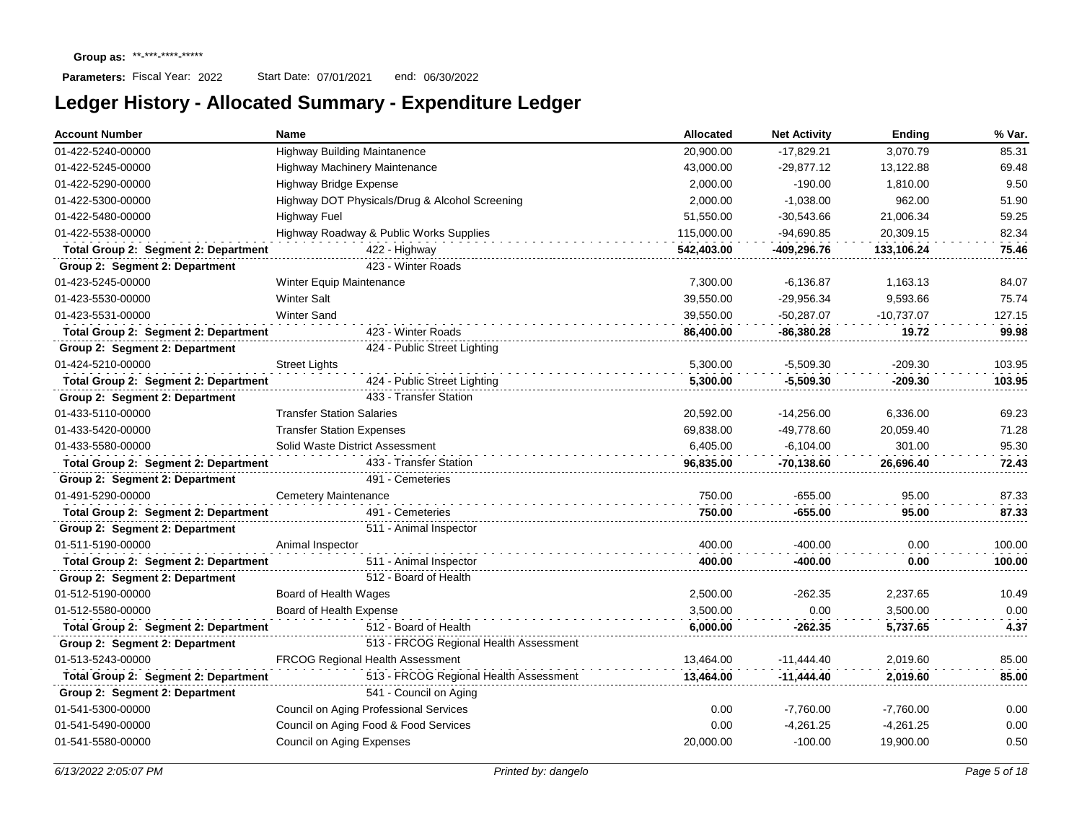| <b>Account Number</b>                | Name                                           | Allocated  | <b>Net Activity</b> | Ending       | % Var. |
|--------------------------------------|------------------------------------------------|------------|---------------------|--------------|--------|
| 01-422-5240-00000                    | <b>Highway Building Maintanence</b>            | 20,900.00  | $-17,829.21$        | 3,070.79     | 85.31  |
| 01-422-5245-00000                    | Highway Machinery Maintenance                  | 43,000.00  | $-29,877.12$        | 13,122.88    | 69.48  |
| 01-422-5290-00000                    | Highway Bridge Expense                         | 2,000.00   | $-190.00$           | 1,810.00     | 9.50   |
| 01-422-5300-00000                    | Highway DOT Physicals/Drug & Alcohol Screening | 2,000.00   | $-1,038.00$         | 962.00       | 51.90  |
| 01-422-5480-00000                    | <b>Highway Fuel</b>                            | 51,550.00  | $-30,543.66$        | 21,006.34    | 59.25  |
| 01-422-5538-00000                    | Highway Roadway & Public Works Supplies        | 115,000.00 | $-94,690.85$        | 20,309.15    | 82.34  |
| Total Group 2: Segment 2: Department | 422 - Highway                                  | 542,403.00 | -409,296.76         | 133,106.24   | 75.46  |
| Group 2: Segment 2: Department       | 423 - Winter Roads                             |            |                     |              |        |
| 01-423-5245-00000                    | Winter Equip Maintenance                       | 7.300.00   | $-6,136.87$         | 1,163.13     | 84.07  |
| 01-423-5530-00000                    | <b>Winter Salt</b>                             | 39,550.00  | $-29,956.34$        | 9.593.66     | 75.74  |
| 01-423-5531-00000                    | <b>Winter Sand</b>                             | 39,550.00  | $-50,287.07$        | $-10,737.07$ | 127.15 |
| Total Group 2: Segment 2: Department | 423 - Winter Roads                             | 86,400.00  | $-86,380.28$        | 19.72        | 99.98  |
| Group 2: Segment 2: Department       | 424 - Public Street Lighting                   |            |                     |              |        |
| 01-424-5210-00000                    | <b>Street Lights</b>                           | 5,300.00   | $-5,509.30$         | $-209.30$    | 103.95 |
| Total Group 2: Segment 2: Department | 424 - Public Street Lighting                   | 5,300.00   | $-5,509.30$         | $-209.30$    | 103.95 |
| Group 2: Segment 2: Department       | 433 - Transfer Station                         |            |                     |              |        |
| 01-433-5110-00000                    | <b>Transfer Station Salaries</b>               | 20,592.00  | $-14,256.00$        | 6,336.00     | 69.23  |
| 01-433-5420-00000                    | <b>Transfer Station Expenses</b>               | 69,838.00  | $-49,778.60$        | 20,059.40    | 71.28  |
| 01-433-5580-00000                    | Solid Waste District Assessment                | 6,405.00   | $-6,104.00$         | 301.00       | 95.30  |
| Total Group 2: Segment 2: Department | 433 - Transfer Station                         | 96,835.00  | $-70,138.60$        | 26,696.40    | 72.43  |
| Group 2: Segment 2: Department       | 491 - Cemeteries                               |            |                     |              |        |
| 01-491-5290-00000                    | <b>Cemetery Maintenance</b>                    | 750.00     | $-655.00$           | 95.00        | 87.33  |
| Total Group 2: Segment 2: Department | 491 - Cemeteries                               | 750.00     | -655.00             | 95.00        | 87.33  |
| Group 2: Segment 2: Department       | 511 - Animal Inspector                         |            |                     |              |        |
| 01-511-5190-00000                    | Animal Inspector                               | 400.00     | $-400.00$           | 0.00         | 100.00 |
| Total Group 2: Segment 2: Department | 511 - Animal Inspector                         | 400.00     | -400.00             | 0.00         | 100.00 |
| Group 2: Segment 2: Department       | 512 - Board of Health                          |            |                     |              |        |
| 01-512-5190-00000                    | Board of Health Wages                          | 2,500.00   | $-262.35$           | 2,237.65     | 10.49  |
| 01-512-5580-00000                    | Board of Health Expense                        | 3,500.00   | 0.00                | 3,500.00     | 0.00   |
| Total Group 2: Segment 2: Department | 512 - Board of Health                          | 6,000.00   | $-262.35$           | 5,737.65     | 4.37   |
| Group 2: Segment 2: Department       | 513 - FRCOG Regional Health Assessment         |            |                     |              |        |
| 01-513-5243-00000                    | <b>FRCOG Regional Health Assessment</b>        | 13,464.00  | $-11.444.40$        | 2,019.60     | 85.00  |
| Total Group 2: Segment 2: Department | 513 - FRCOG Regional Health Assessment         | 13,464.00  | $-11,444.40$        | 2,019.60     | 85.00  |
| Group 2: Segment 2: Department       | 541 - Council on Aging                         |            |                     |              |        |
| 01-541-5300-00000                    | Council on Aging Professional Services         | 0.00       | $-7,760.00$         | $-7,760.00$  | 0.00   |
| 01-541-5490-00000                    | Council on Aging Food & Food Services          | 0.00       | $-4,261.25$         | $-4,261.25$  | 0.00   |
| 01-541-5580-00000                    | Council on Aging Expenses                      | 20,000.00  | $-100.00$           | 19,900.00    | 0.50   |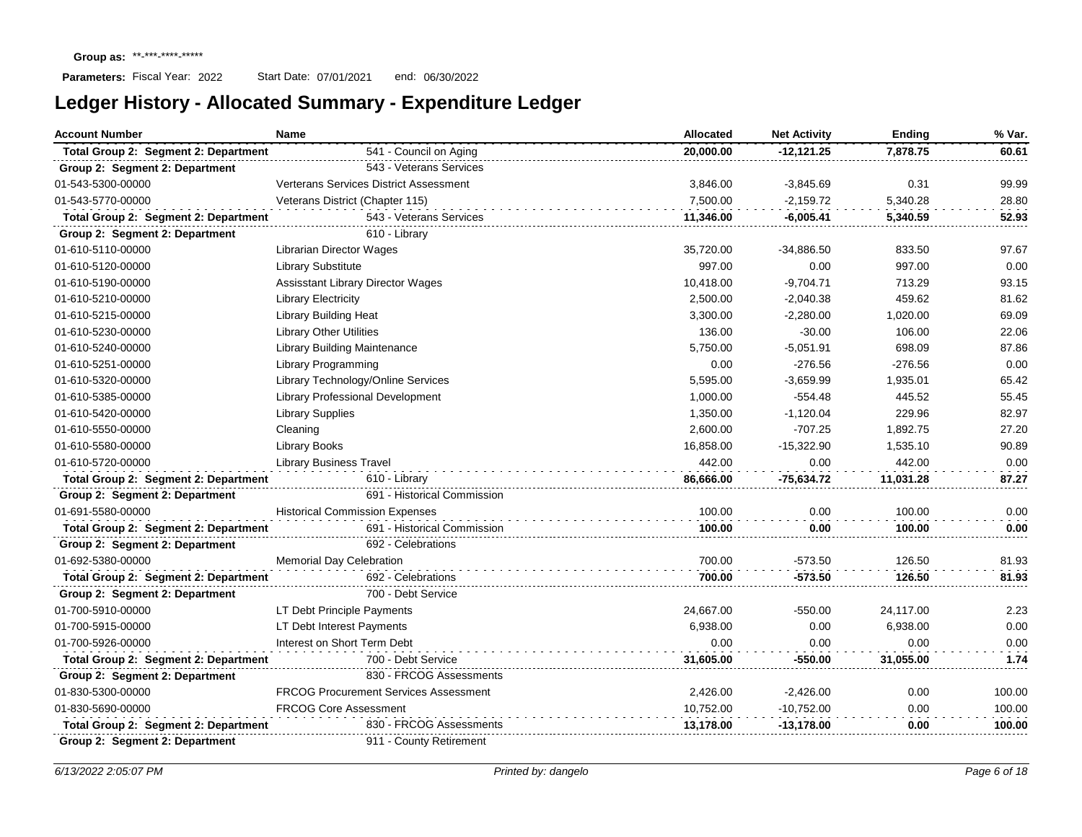| <b>Account Number</b>                | Name                                          | Allocated | <b>Net Activity</b> | <b>Ending</b> | % Var. |
|--------------------------------------|-----------------------------------------------|-----------|---------------------|---------------|--------|
| Total Group 2: Segment 2: Department | 541 - Council on Aging                        | 20.000.00 | $-12,121.25$        | 7,878.75      | 60.61  |
| Group 2: Segment 2: Department       | 543 - Veterans Services                       |           |                     |               |        |
| 01-543-5300-00000                    | <b>Verterans Services District Assessment</b> | 3,846.00  | $-3,845.69$         | 0.31          | 99.99  |
| 01-543-5770-00000                    | Veterans District (Chapter 115)               | 7,500.00  | $-2,159.72$         | 5,340.28      | 28.80  |
| Total Group 2: Segment 2: Department | 543 - Veterans Services                       | 11,346.00 | -6,005.41           | 5,340.59      | 52.93  |
| Group 2: Segment 2: Department       | 610 - Library                                 |           |                     |               |        |
| 01-610-5110-00000                    | <b>Librarian Director Wages</b>               | 35,720.00 | $-34,886.50$        | 833.50        | 97.67  |
| 01-610-5120-00000                    | <b>Library Substitute</b>                     | 997.00    | 0.00                | 997.00        | 0.00   |
| 01-610-5190-00000                    | <b>Assisstant Library Director Wages</b>      | 10,418.00 | $-9,704.71$         | 713.29        | 93.15  |
| 01-610-5210-00000                    | <b>Library Electricity</b>                    | 2,500.00  | $-2,040.38$         | 459.62        | 81.62  |
| 01-610-5215-00000                    | Library Building Heat                         | 3,300.00  | $-2,280.00$         | 1,020.00      | 69.09  |
| 01-610-5230-00000                    | <b>Library Other Utilities</b>                | 136.00    | $-30.00$            | 106.00        | 22.06  |
| 01-610-5240-00000                    | Library Building Maintenance                  | 5,750.00  | $-5,051.91$         | 698.09        | 87.86  |
| 01-610-5251-00000                    | <b>Library Programming</b>                    | 0.00      | $-276.56$           | $-276.56$     | 0.00   |
| 01-610-5320-00000                    | Library Technology/Online Services            | 5,595.00  | $-3,659.99$         | 1,935.01      | 65.42  |
| 01-610-5385-00000                    | <b>Library Professional Development</b>       | 1,000.00  | $-554.48$           | 445.52        | 55.45  |
| 01-610-5420-00000                    | <b>Library Supplies</b>                       | 1,350.00  | $-1,120.04$         | 229.96        | 82.97  |
| 01-610-5550-00000                    | Cleaning                                      | 2,600.00  | $-707.25$           | 1,892.75      | 27.20  |
| 01-610-5580-00000                    | <b>Library Books</b>                          | 16,858.00 | $-15,322.90$        | 1,535.10      | 90.89  |
| 01-610-5720-00000                    | <b>Library Business Travel</b>                | 442.00    | 0.00                | 442.00        | 0.00   |
| Total Group 2: Segment 2: Department | 610 - Library                                 | 86,666.00 | $-75,634.72$        | 11,031.28     | 87.27  |
| Group 2: Segment 2: Department       | 691 - Historical Commission                   |           |                     |               |        |
| 01-691-5580-00000                    | <b>Historical Commission Expenses</b>         | 100.00    | 0.00                | 100.00        | 0.00   |
| Total Group 2: Segment 2: Department | 691 - Historical Commission                   | 100.00    | 0.00                | 100.00        | 0.00   |
| Group 2: Segment 2: Department       | 692 - Celebrations                            |           |                     |               |        |
| 01-692-5380-00000                    | <b>Memorial Day Celebration</b>               | 700.00    | $-573.50$           | 126.50        | 81.93  |
| Total Group 2: Segment 2: Department | 692 - Celebrations                            | 700.00    | -573.50             | 126.50        | 81.93  |
| Group 2: Segment 2: Department       | 700 - Debt Service                            |           |                     |               |        |
| 01-700-5910-00000                    | LT Debt Principle Payments                    | 24,667.00 | -550.00             | 24,117.00     | 2.23   |
| 01-700-5915-00000                    | LT Debt Interest Payments                     | 6,938.00  | 0.00                | 6,938.00      | 0.00   |
| 01-700-5926-00000                    | Interest on Short Term Debt                   | 0.00      | 0.00                | 0.00          | 0.00   |
| Total Group 2: Segment 2: Department | 700 - Debt Service                            | 31,605.00 | $-550.00$           | 31,055.00     | 1.74   |
| Group 2: Segment 2: Department       | 830 - FRCOG Assessments                       |           |                     |               |        |
| 01-830-5300-00000                    | <b>FRCOG Procurement Services Assessment</b>  | 2,426.00  | $-2,426.00$         | 0.00          | 100.00 |
| 01-830-5690-00000                    | <b>FRCOG Core Assessment</b>                  | 10,752.00 | $-10,752.00$        | 0.00          | 100.00 |
| Total Group 2: Segment 2: Department | 830 - FRCOG Assessments                       | 13,178.00 | $-13,178.00$        | 0.00          | 100.00 |
| Group 2: Segment 2: Department       | 911 - County Retirement                       |           |                     |               |        |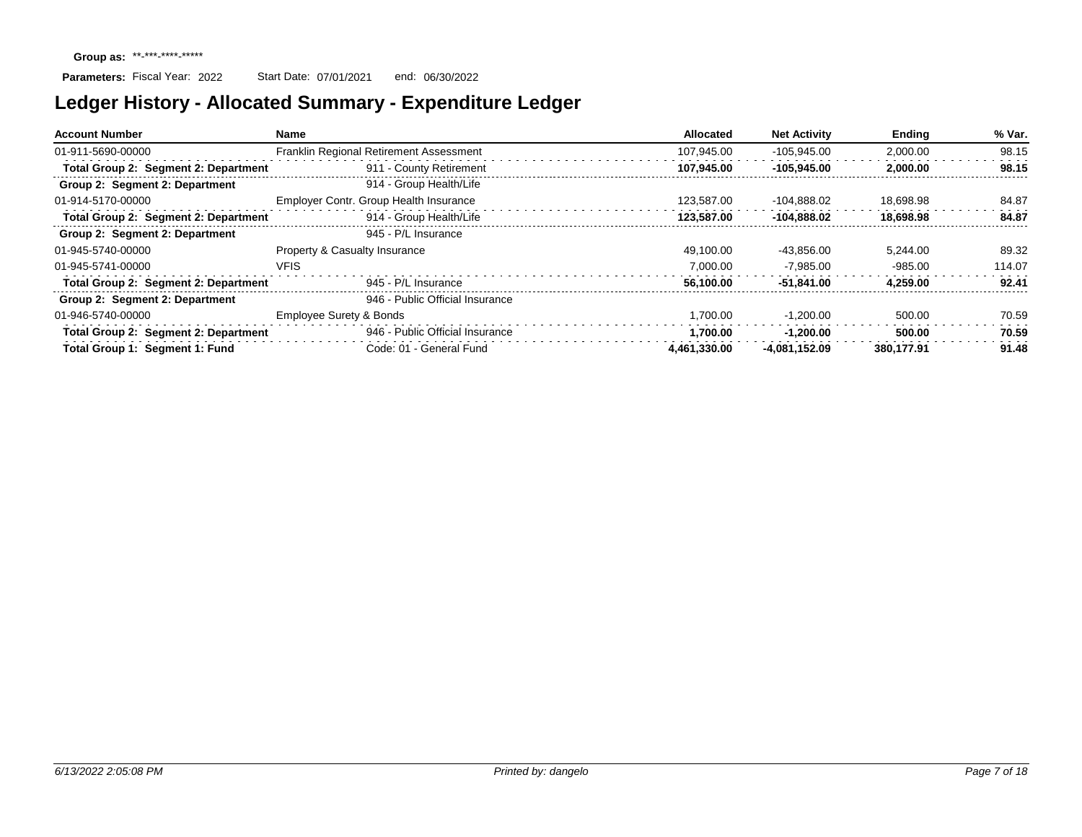| <b>Account Number</b>                       | Name                                    | Allocated    | <b>Net Activity</b> | <b>Ending</b> | % Var. |
|---------------------------------------------|-----------------------------------------|--------------|---------------------|---------------|--------|
| 01-911-5690-00000                           | Franklin Regional Retirement Assessment | 107.945.00   | $-105.945.00$       | 2,000.00      | 98.15  |
| Total Group 2: Segment 2: Department        | 911 - County Retirement                 | 107.945.00   | $-105.945.00$       | 2.000.00      | 98.15  |
| Group 2: Segment 2: Department              | 914 - Group Health/Life                 |              |                     |               |        |
| 01-914-5170-00000                           | Employer Contr. Group Health Insurance  | 123.587.00   | -104.888.02         | 18.698.98     | 84.87  |
| Total Group 2: Segment 2: Department        | 914 - Group Health/Life                 | 123.587.00   | -104.888.02         | 18.698.98     | 84.87  |
| Group 2: Segment 2: Department              | 945 - P/L Insurance                     |              |                     |               |        |
| 01-945-5740-00000                           | Property & Casualty Insurance           | 49.100.00    | -43.856.00          | 5.244.00      | 89.32  |
| 01-945-5741-00000                           | <b>VFIS</b>                             | 7.000.00     | $-7.985.00$         | $-985.00$     | 114.07 |
| <b>Total Group 2: Segment 2: Department</b> | 945 - P/L Insurance                     | 56.100.00    | $-51.841.00$        | 4.259.00      | 92.41  |
| Group 2: Segment 2: Department              | 946 - Public Official Insurance         |              |                     |               |        |
| 01-946-5740-00000                           | <b>Employee Surety &amp; Bonds</b>      | 1.700.00     | $-1.200.00$         | 500.00        | 70.59  |
| Total Group 2: Segment 2: Department        | 946 - Public Official Insurance         | 1.700.00     | $-1.200.00$         | 500.00        | 70.59  |
| Total Group 1: Segment 1: Fund              | Code: 01 - General Fund                 | 4.461.330.00 | -4.081.152.09       | 380.177.91    | 91.48  |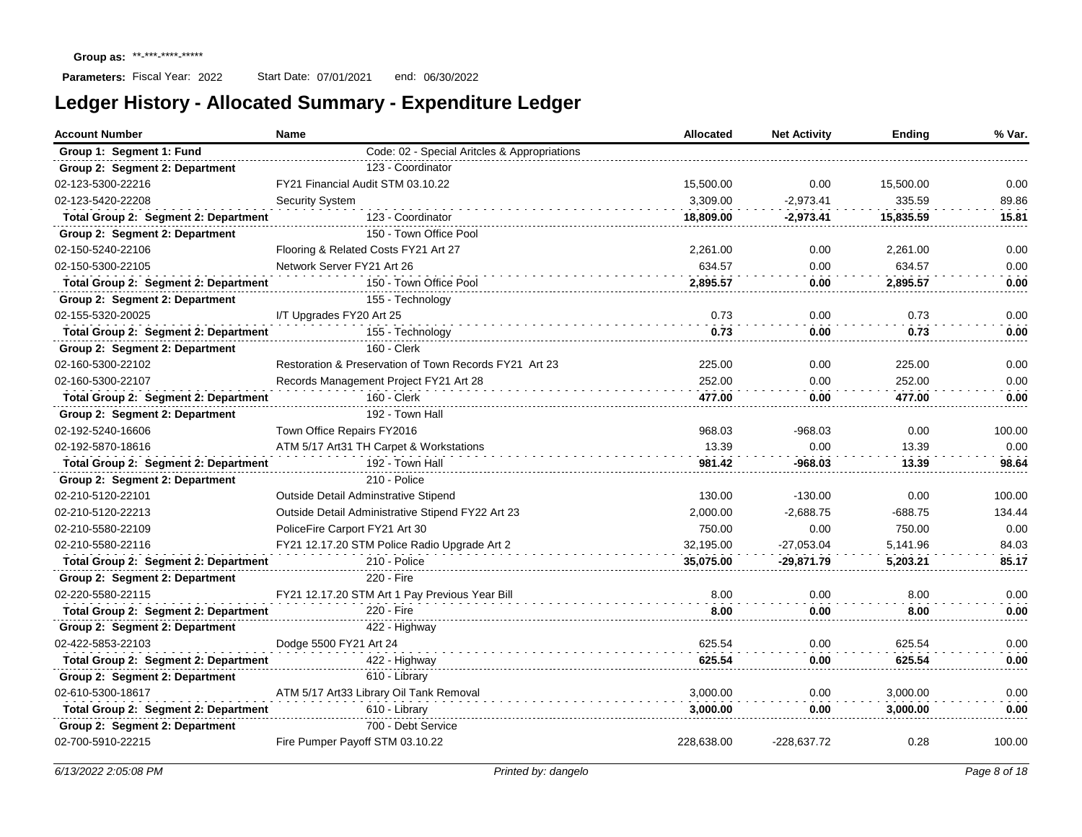| <b>Account Number</b>                | Name<br><b>Allocated</b>                               |            | <b>Net Activity</b> | Ending    | % Var. |
|--------------------------------------|--------------------------------------------------------|------------|---------------------|-----------|--------|
| Group 1: Segment 1: Fund             | Code: 02 - Special Aritcles & Appropriations           |            |                     |           |        |
| Group 2: Segment 2: Department       | 123 - Coordinator                                      |            |                     |           |        |
| 02-123-5300-22216                    | FY21 Financial Audit STM 03.10.22                      | 15,500.00  | 0.00                | 15,500.00 | 0.00   |
| 02-123-5420-22208                    | Security System                                        | 3,309.00   | $-2,973.41$         | 335.59    | 89.86  |
| Total Group 2: Segment 2: Department | 123 - Coordinator                                      | 18,809.00  | -2,973.41           | 15,835.59 | 15.81  |
| Group 2: Segment 2: Department       | 150 - Town Office Pool                                 |            |                     |           |        |
| 02-150-5240-22106                    | Flooring & Related Costs FY21 Art 27                   | 2,261.00   | 0.00                | 2,261.00  | 0.00   |
| 02-150-5300-22105                    | Network Server FY21 Art 26                             | 634.57     | 0.00                | 634.57    | 0.00   |
| Total Group 2: Segment 2: Department | 150 - Town Office Pool                                 | 2,895.57   | 0.00                | 2.895.57  | 0.00   |
| Group 2: Segment 2: Department       | 155 - Technology                                       |            |                     |           |        |
| 02-155-5320-20025                    | I/T Upgrades FY20 Art 25                               | 0.73       | 0.00                | 0.73      | 0.00   |
| Total Group 2: Segment 2: Department | 155 - Technology                                       | 0.73       | 0.00                | 0.73      | 0.00   |
| Group 2: Segment 2: Department       | 160 - Clerk                                            |            |                     |           |        |
| 02-160-5300-22102                    | Restoration & Preservation of Town Records FY21 Art 23 | 225.00     | 0.00                | 225.00    | 0.00   |
| 02-160-5300-22107                    | Records Management Project FY21 Art 28                 | 252.00     | 0.00                | 252.00    | 0.00   |
| Total Group 2: Segment 2: Department | 160 - Clerk                                            | 477.00     | 0.00                | 477.00    | 0.00   |
| Group 2: Segment 2: Department       | 192 - Town Hall                                        |            |                     |           |        |
| 02-192-5240-16606                    | Town Office Repairs FY2016                             | 968.03     | $-968.03$           | 0.00      | 100.00 |
| 02-192-5870-18616                    | ATM 5/17 Art31 TH Carpet & Workstations                | 13.39      | 0.00                | 13.39     | 0.00   |
| Total Group 2: Segment 2: Department | 192 - Town Hall                                        | 981.42     | -968.03             | 13.39     | 98.64  |
| Group 2: Segment 2: Department       | 210 - Police                                           |            |                     |           |        |
| 02-210-5120-22101                    | <b>Outside Detail Adminstrative Stipend</b>            | 130.00     | $-130.00$           | 0.00      | 100.00 |
| 02-210-5120-22213                    | Outside Detail Administrative Stipend FY22 Art 23      | 2,000.00   | $-2,688.75$         | $-688.75$ | 134.44 |
| 02-210-5580-22109                    | PoliceFire Carport FY21 Art 30                         | 750.00     | 0.00                | 750.00    | 0.00   |
| 02-210-5580-22116                    | FY21 12.17.20 STM Police Radio Upgrade Art 2           | 32,195.00  | $-27,053.04$        | 5,141.96  | 84.03  |
| Total Group 2: Segment 2: Department | 210 - Police                                           | 35,075.00  | $-29,871.79$        | 5,203.21  | 85.17  |
| Group 2: Segment 2: Department       | 220 - Fire                                             |            |                     |           |        |
| 02-220-5580-22115                    | FY21 12.17.20 STM Art 1 Pay Previous Year Bill         | 8.00       | 0.00                | 8.00      | 0.00   |
| Total Group 2: Segment 2: Department | 220 - Fire                                             | 8.00       | 0.00                | 8.00      | 0.00   |
| Group 2: Segment 2: Department       | 422 - Highway                                          |            |                     |           |        |
| 02-422-5853-22103                    | Dodge 5500 FY21 Art 24                                 | 625.54     | 0.00                | 625.54    | 0.00   |
| Total Group 2: Segment 2: Department | 422 - Highway                                          | 625.54     | 0.00                | 625.54    | 0.00   |
| Group 2: Segment 2: Department       | 610 - Library                                          |            |                     |           |        |
| 02-610-5300-18617                    | ATM 5/17 Art33 Library Oil Tank Removal                | 3.000.00   | 0.00                | 3,000.00  | 0.00   |
| Total Group 2: Segment 2: Department | 610 - Library                                          | 3.000.00   | 0.00                | 3.000.00  | 0.00   |
| Group 2: Segment 2: Department       | 700 - Debt Service                                     |            |                     |           |        |
| 02-700-5910-22215                    | Fire Pumper Payoff STM 03.10.22                        | 228.638.00 | -228.637.72         | 0.28      | 100.00 |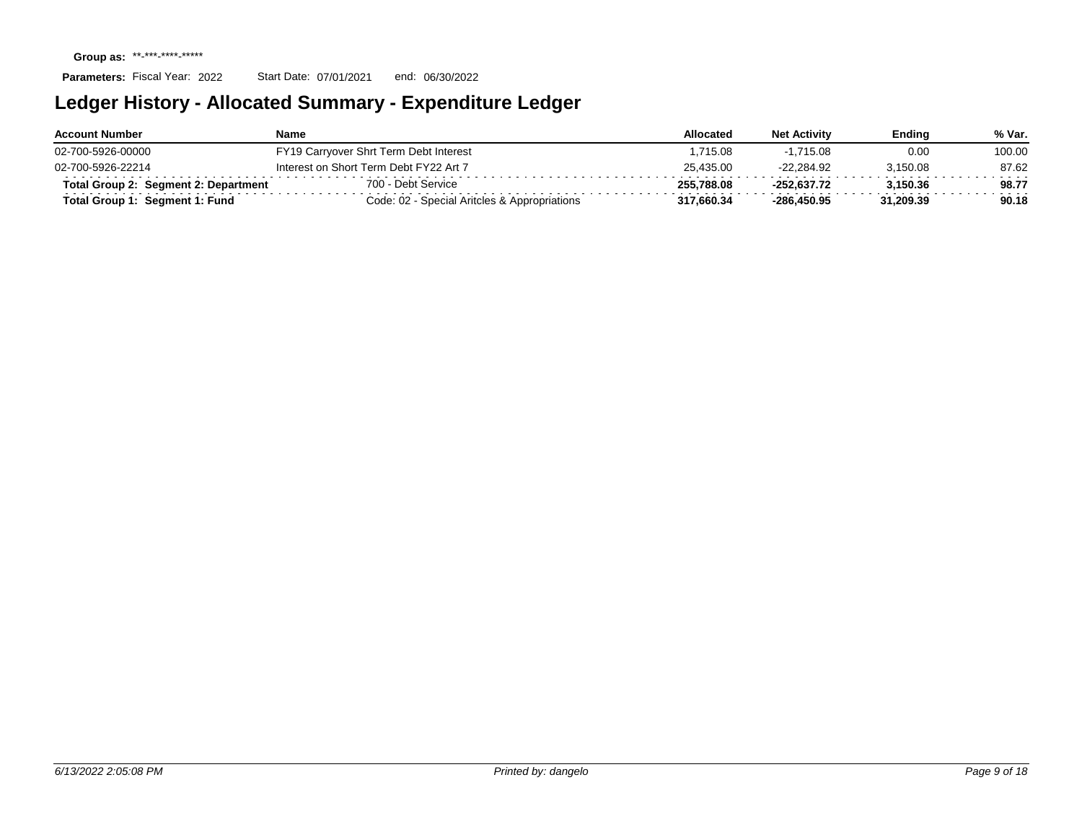| <b>Account Number</b>                | Name                                         | Allocated  | <b>Net Activity</b> | Endina    | % Var. |
|--------------------------------------|----------------------------------------------|------------|---------------------|-----------|--------|
| 02-700-5926-00000                    | FY19 Carryover Shrt Term Debt Interest       | .715.08    | $-1.715.08$         | 0.00      | 100.00 |
| 02-700-5926-22214                    | Interest on Short Term Debt FY22 Art 7       | 25.435.00  | -22.284.92          | 3.150.08  | 87.62  |
| Total Group 2: Segment 2: Department | 700 - Debt Service                           | 255.788.08 | $-252.637.72$       | 3.150.36  | 98.77  |
| Seament 1: Fund<br>Total Group 1:    | Code: 02 - Special Aritcles & Appropriations | 317.660.34 | $-286.450.95$       | 31.209.39 | 90.18  |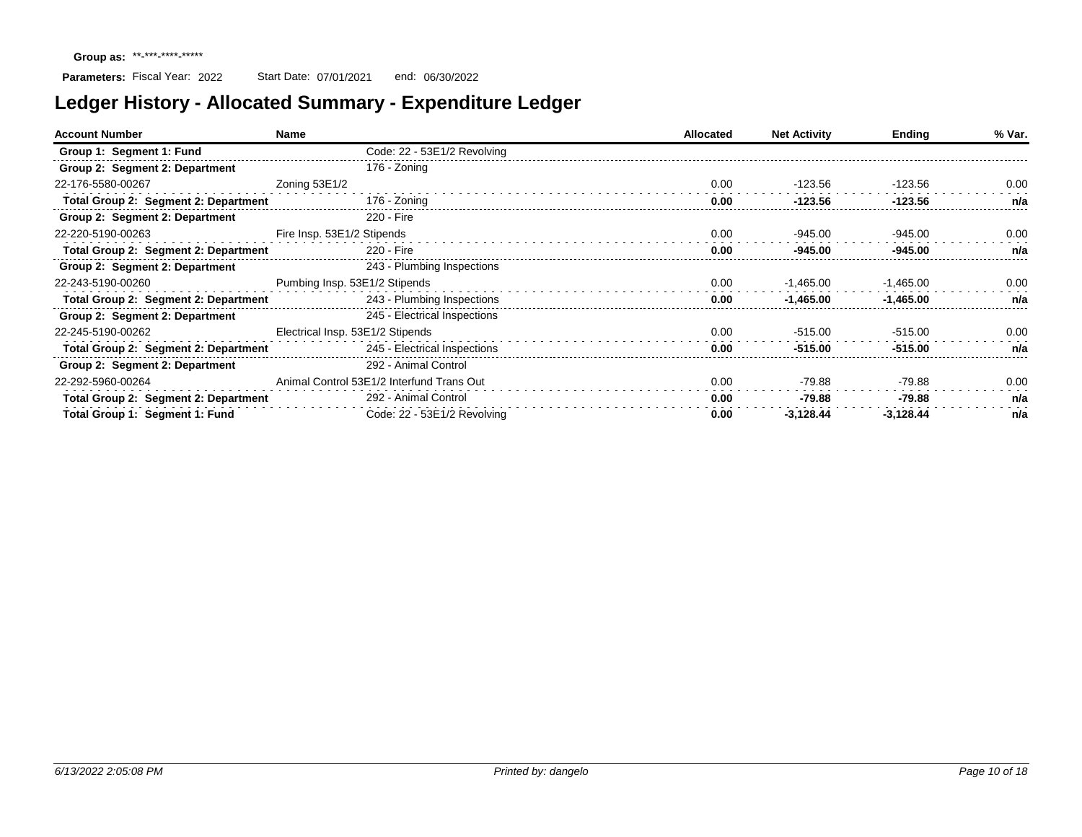| <b>Account Number</b>                | Name                                      | <b>Allocated</b> | <b>Net Activity</b> | Ending      | % Var. |
|--------------------------------------|-------------------------------------------|------------------|---------------------|-------------|--------|
| Group 1: Segment 1: Fund             | Code: 22 - 53E1/2 Revolving               |                  |                     |             |        |
| Group 2: Segment 2: Department       | 176 - Zoning                              |                  |                     |             |        |
| 22-176-5580-00267                    | Zoning 53E1/2                             | 0.00             | -123.56             | -123.56     | 0.00   |
| Total Group 2: Segment 2: Department | 176 - Zoning                              | 0.00             | $-123.56$           | $-123.56$   | n/a    |
| Group 2: Segment 2: Department       | 220 - Fire                                |                  |                     |             |        |
| 22-220-5190-00263                    | Fire Insp. 53E1/2 Stipends                | 0.00             | -945.00             | $-945.00$   | 0.00   |
| Total Group 2: Segment 2: Department | 220 - Fire                                | 0.00             | $-945.00$           | $-945.00$   | n/a    |
| Group 2: Segment 2: Department       | 243 - Plumbing Inspections                |                  |                     |             |        |
| 22-243-5190-00260                    | Pumbing Insp. 53E1/2 Stipends             | 0.00             | $-1,465.00$         | -1,465.00   | 0.00   |
| Total Group 2: Segment 2: Department | 243 - Plumbing Inspections                | 0.00             | $-1.465.00$         | $-1,465.00$ | n/a    |
| Group 2: Segment 2: Department       | 245 - Electrical Inspections              |                  |                     |             |        |
| 22-245-5190-00262                    | Electrical Insp. 53E1/2 Stipends          | 0.00             | $-515.00$           | $-515.00$   | 0.00   |
| Total Group 2: Segment 2: Department | 245 - Electrical Inspections              | 0.00             | $-515.00$           | $-515.00$   | n/a    |
| Group 2: Segment 2: Department       | 292 - Animal Control                      |                  |                     |             |        |
| 22-292-5960-00264                    | Animal Control 53E1/2 Interfund Trans Out | 0.00             | -79.88              | $-79.88$    | 0.00   |
| Total Group 2: Segment 2: Department | 292 - Animal Control                      | 0.00             | -79.88              | $-79.88$    | n/a    |
| Total Group 1: Segment 1: Fund       | Code: 22 - 53E1/2 Revolving               | 0.00             | $-3.128.44$         | $-3.128.44$ | n/a    |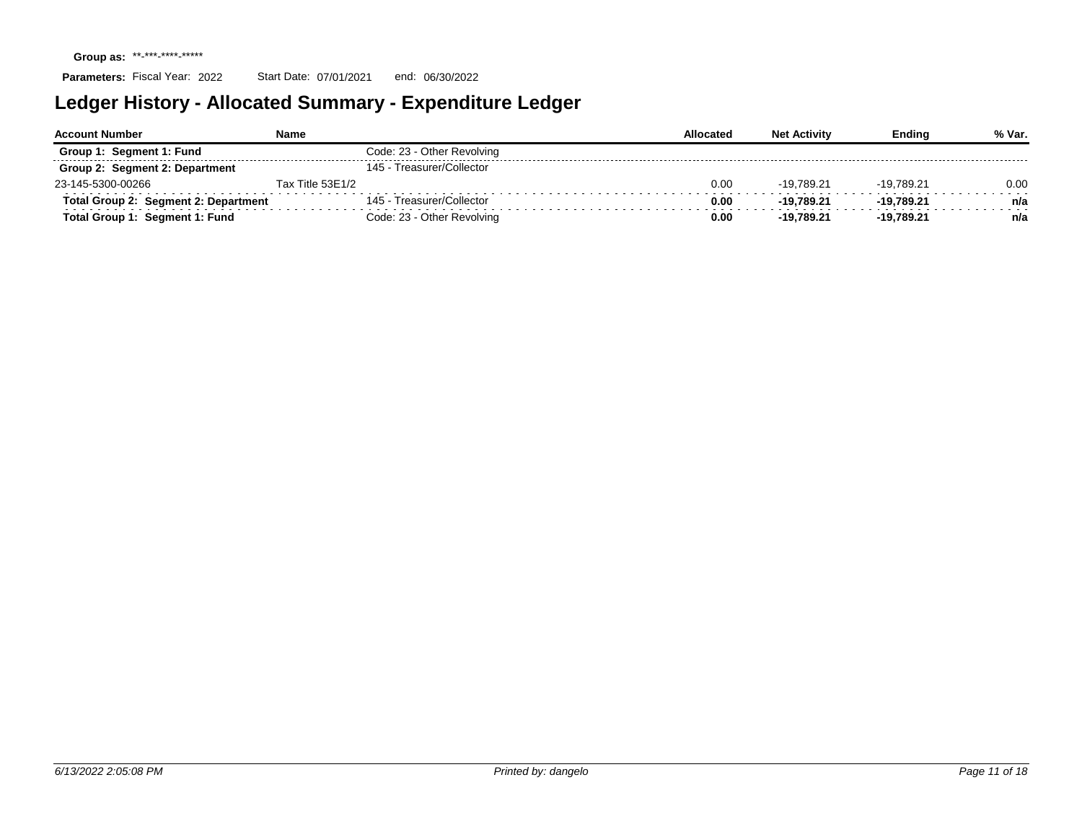| <b>Account Number</b>                | Name                       | Allocated | <b>Net Activity</b> | <b>Ending</b> | % Var. |
|--------------------------------------|----------------------------|-----------|---------------------|---------------|--------|
| Group 1: Segment 1: Fund             | Code: 23 - Other Revolving |           |                     |               |        |
| Group 2: Segment 2: Department       | 145 - Treasurer/Collector  |           |                     |               |        |
| 23-145-5300-00266                    | Tax Title 53E1/2           | 0.00      | -19.789.21          | -19.789.21    | 0.00   |
| Total Group 2: Segment 2: Department | 145 - Treasurer/Collector  | 0.00      | -19.789.21          | -19.789.21    | n/a    |
| Total Group 1: Segment 1: Fund       | Code: 23 - Other Revolving | 0.00      | -19.789.21          | $-19.789.21$  | n/a    |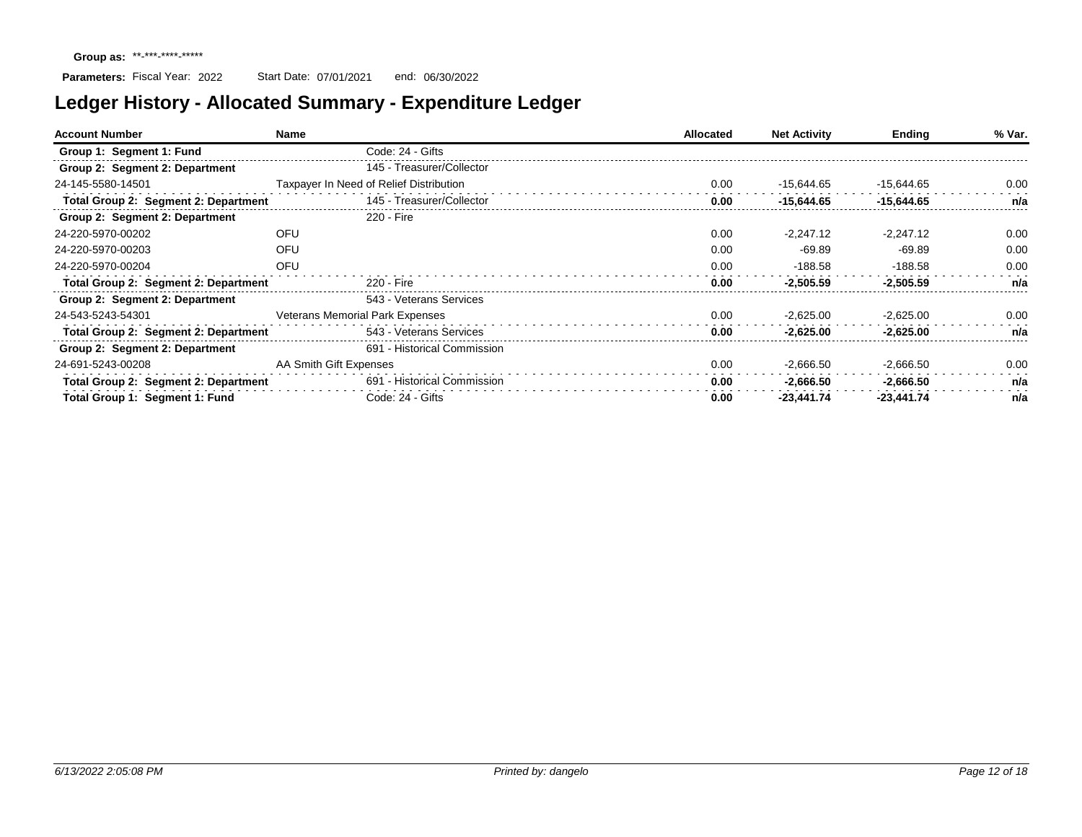| <b>Account Number</b>                | Name                   |                                         | <b>Allocated</b> | <b>Net Activity</b> | <b>Ending</b> | % Var. |
|--------------------------------------|------------------------|-----------------------------------------|------------------|---------------------|---------------|--------|
| Group 1: Segment 1: Fund             |                        | Code: 24 - Gifts                        |                  |                     |               |        |
| Group 2: Segment 2: Department       |                        | 145 - Treasurer/Collector               |                  |                     |               |        |
| 24-145-5580-14501                    |                        | Taxpayer In Need of Relief Distribution | 0.00             | $-15.644.65$        | $-15.644.65$  | 0.00   |
| Total Group 2: Segment 2: Department |                        | 145 - Treasurer/Collector               | 0.00             | $-15.644.65$        | $-15.644.65$  | n/a    |
| Group 2: Segment 2: Department       |                        | 220 - Fire                              |                  |                     |               |        |
| 24-220-5970-00202                    | OFU                    |                                         | 0.00             | $-2.247.12$         | $-2.247.12$   | 0.00   |
| 24-220-5970-00203                    | OFU                    |                                         | 0.00             | $-69.89$            | $-69.89$      | 0.00   |
| 24-220-5970-00204                    | OFU                    |                                         | 0.00             | $-188.58$           | $-188.58$     | 0.00   |
| Total Group 2: Segment 2: Department |                        | 220 - Fire                              | 0.00             | $-2.505.59$         | $-2.505.59$   | n/a    |
| Group 2: Segment 2: Department       |                        | 543 - Veterans Services                 |                  |                     |               |        |
| 24-543-5243-54301                    |                        | <b>Veterans Memorial Park Expenses</b>  | 0.00             | $-2,625.00$         | $-2,625.00$   | 0.00   |
| Total Group 2: Segment 2: Department |                        | 543 - Veterans Services                 | 0.00             | $-2.625.00$         | $-2.625.00$   | n/a    |
| Group 2: Segment 2: Department       |                        | 691 - Historical Commission             |                  |                     |               |        |
| 24-691-5243-00208                    | AA Smith Gift Expenses |                                         | 0.00             | $-2,666.50$         | $-2,666.50$   | 0.00   |
| Total Group 2: Segment 2: Department |                        | 691 - Historical Commission             | 0.00             | $-2,666.50$         | $-2,666.50$   | n/a    |
| Total Group 1: Segment 1: Fund       |                        | Code: 24 - Gifts                        | 0.00             | $-23.441.74$        | $-23.441.74$  | n/a    |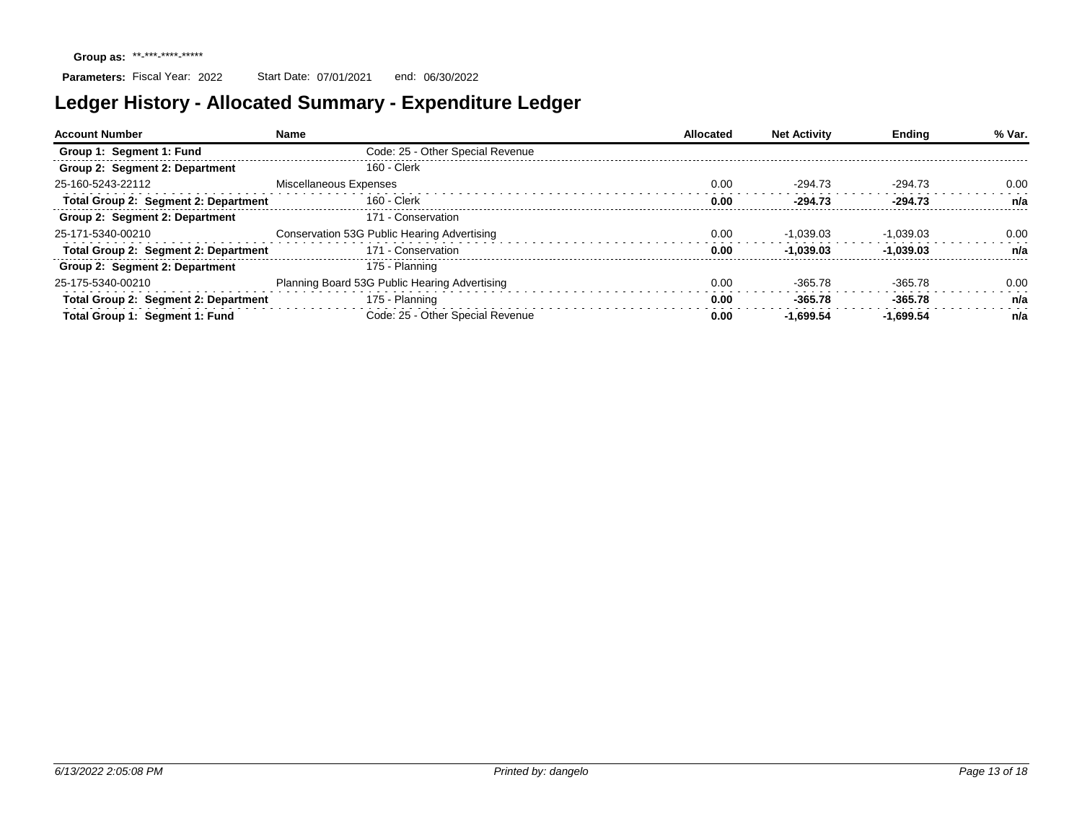| <b>Account Number</b>                | Name                                          | Allocated | <b>Net Activity</b> | <b>Ending</b> | % Var. |
|--------------------------------------|-----------------------------------------------|-----------|---------------------|---------------|--------|
| Group 1: Segment 1: Fund             | Code: 25 - Other Special Revenue              |           |                     |               |        |
| Group 2: Segment 2: Department       | 160 - Clerk                                   |           |                     |               |        |
| 25-160-5243-22112                    | Miscellaneous Expenses                        | 0.00      | $-294.73$           | $-294.73$     | 0.00   |
| Total Group 2: Segment 2: Department | 160 - Clerk                                   | 0.00      | $-294.73$           | $-294.73$     | n/a    |
| Group 2: Segment 2: Department       | 171 - Conservation                            |           |                     |               |        |
| 25-171-5340-00210                    | Conservation 53G Public Hearing Advertising   | 0.00      | $-1.039.03$         | $-1.039.03$   | 0.00   |
| Total Group 2: Segment 2: Department | 171 - Conservation                            | 0.00      | $-1.039.03$         | $-1.039.03$   | n/a    |
| Group 2: Segment 2: Department       | 175 - Planning                                |           |                     |               |        |
| 25-175-5340-00210                    | Planning Board 53G Public Hearing Advertising | 0.00      | $-365.78$           | $-365.78$     | 0.00   |
| Total Group 2: Segment 2: Department | 175 - Planning                                | 0.00      | $-365.78$           | $-365.78$     | n/a    |
| Total Group 1: Segment 1: Fund       | Code: 25 - Other Special Revenue              | 0.00      | -1.699.54           | -1.699.54     | n/a    |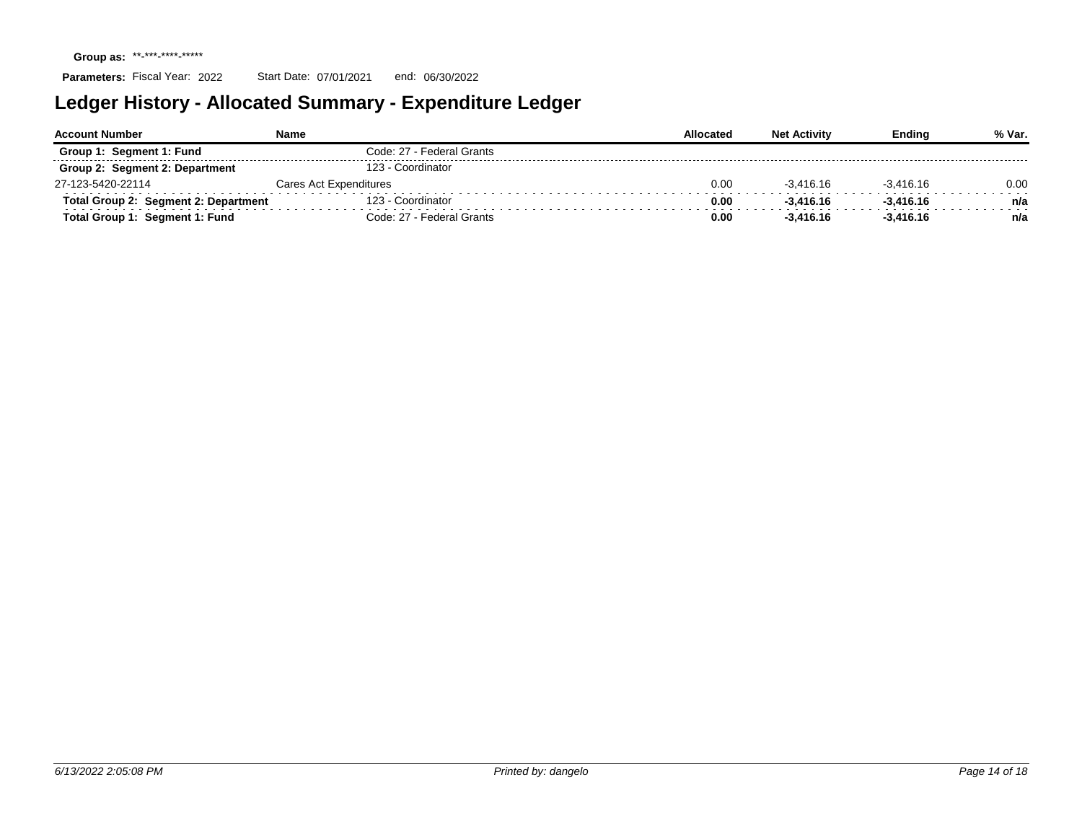| <b>Account Number</b>                | Name                      | Allocated | <b>Net Activity</b> | Endina      | % Var. |
|--------------------------------------|---------------------------|-----------|---------------------|-------------|--------|
| Group 1: Segment 1: Fund             | Code: 27 - Federal Grants |           |                     |             |        |
| Group 2: Segment 2: Department       | 123 - Coordinator         |           |                     |             |        |
| 27-123-5420-22114                    | Cares Act Expenditures    | 0.00      | $-3.416.16$         | $-3.416.16$ | 0.00   |
| Total Group 2: Segment 2: Department | 123 - Coordinator         | 0.00      | $-3.416.16$         | $-3.416.16$ | n/a    |
| Total Group 1: Segment 1: Fund       | Code: 27 - Federal Grants | 0.00      | $-3.416.16$         | $-3.416.16$ | n/a    |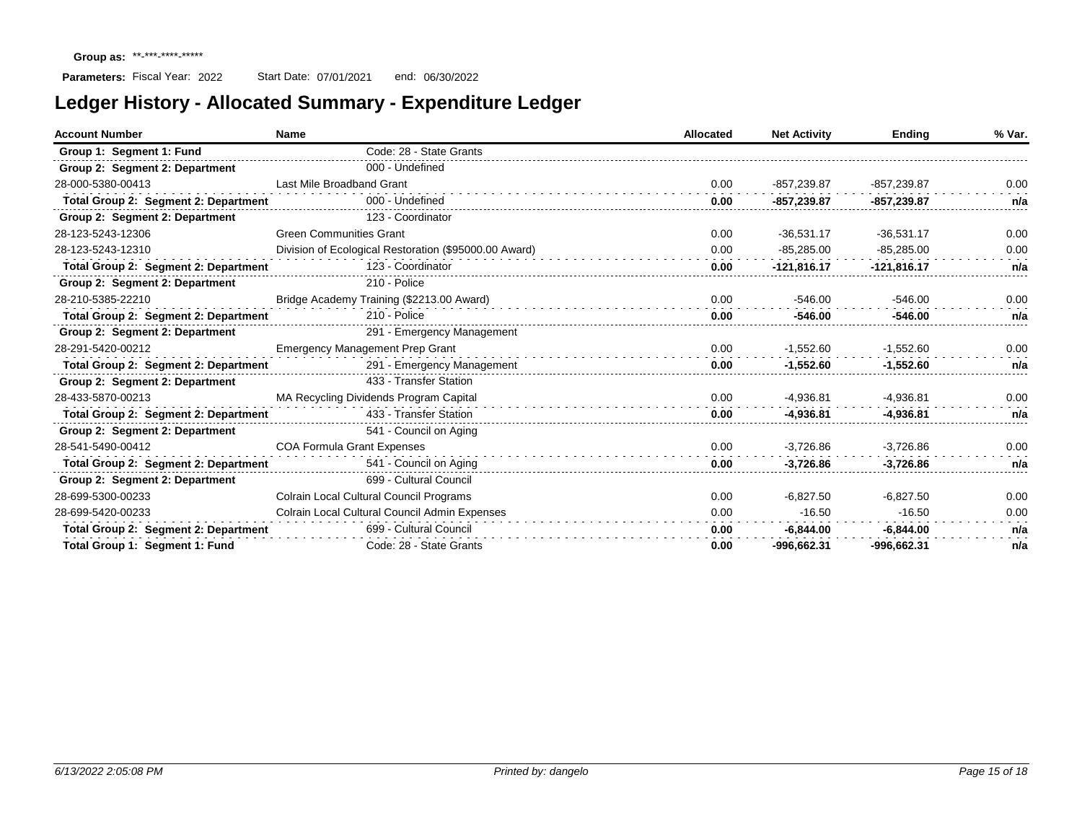| <b>Account Number</b>                | Name                                                  | Allocated | <b>Net Activity</b> | <b>Ending</b> | % Var. |
|--------------------------------------|-------------------------------------------------------|-----------|---------------------|---------------|--------|
| Group 1: Segment 1: Fund             | Code: 28 - State Grants                               |           |                     |               |        |
| Group 2: Segment 2: Department       | 000 - Undefined                                       |           |                     |               |        |
| 28-000-5380-00413                    | Last Mile Broadband Grant                             | 0.00      | $-857,239.87$       | $-857,239.87$ | 0.00   |
| Total Group 2: Segment 2: Department | 000 - Undefined                                       | 0.00      | -857,239.87         | -857,239.87   | n/a    |
| Group 2: Segment 2: Department       | 123 - Coordinator                                     |           |                     |               |        |
| 28-123-5243-12306                    | <b>Green Communities Grant</b>                        | 0.00      | $-36,531.17$        | $-36,531.17$  | 0.00   |
| 28-123-5243-12310                    | Division of Ecological Restoration (\$95000.00 Award) | 0.00      | $-85,285.00$        | $-85,285.00$  | 0.00   |
| Total Group 2: Segment 2: Department | 123 - Coordinator                                     | 0.00      | $-121,816.17$       | $-121,816.17$ | n/a    |
| Group 2: Segment 2: Department       | 210 - Police                                          |           |                     |               |        |
| 28-210-5385-22210                    | Bridge Academy Training (\$2213.00 Award)             | 0.00      | $-546.00$           | $-546.00$     | 0.00   |
| Total Group 2: Segment 2: Department | 210 - Police                                          | 0.00      | $-546.00$           | $-546.00$     | n/a    |
| Group 2: Segment 2: Department       | 291 - Emergency Management                            |           |                     |               |        |
| 28-291-5420-00212                    | <b>Emergency Management Prep Grant</b>                | 0.00      | $-1,552.60$         | $-1,552.60$   | 0.00   |
| Total Group 2: Segment 2: Department | 291 - Emergency Management                            | 0.00      | $-1,552.60$         | $-1,552.60$   | n/a    |
| Group 2: Segment 2: Department       | 433 - Transfer Station                                |           |                     |               |        |
| 28-433-5870-00213                    | MA Recycling Dividends Program Capital                | 0.00      | $-4,936.81$         | $-4,936.81$   | 0.00   |
| Total Group 2: Segment 2: Department | 433 - Transfer Station                                | 0.00      | $-4,936.81$         | $-4,936.81$   | n/a    |
| Group 2: Segment 2: Department       | 541 - Council on Aging                                |           |                     |               |        |
| 28-541-5490-00412                    | <b>COA Formula Grant Expenses</b>                     | 0.00      | $-3,726.86$         | $-3,726.86$   | 0.00   |
| Total Group 2: Segment 2: Department | 541 - Council on Aging                                | 0.00      | $-3,726.86$         | $-3,726.86$   | n/a    |
| Group 2: Segment 2: Department       | 699 - Cultural Council                                |           |                     |               |        |
| 28-699-5300-00233                    | Colrain Local Cultural Council Programs               | 0.00      | $-6,827.50$         | $-6.827.50$   | 0.00   |
| 28-699-5420-00233                    | Colrain Local Cultural Council Admin Expenses         | 0.00      | $-16.50$            | $-16.50$      | 0.00   |
| Total Group 2: Segment 2: Department | 699 - Cultural Council                                | 0.00      | $-6,844.00$         | $-6,844.00$   | n/a    |
| Total Group 1: Segment 1: Fund       | Code: 28 - State Grants                               | 0.00      | -996.662.31         | -996.662.31   | n/a    |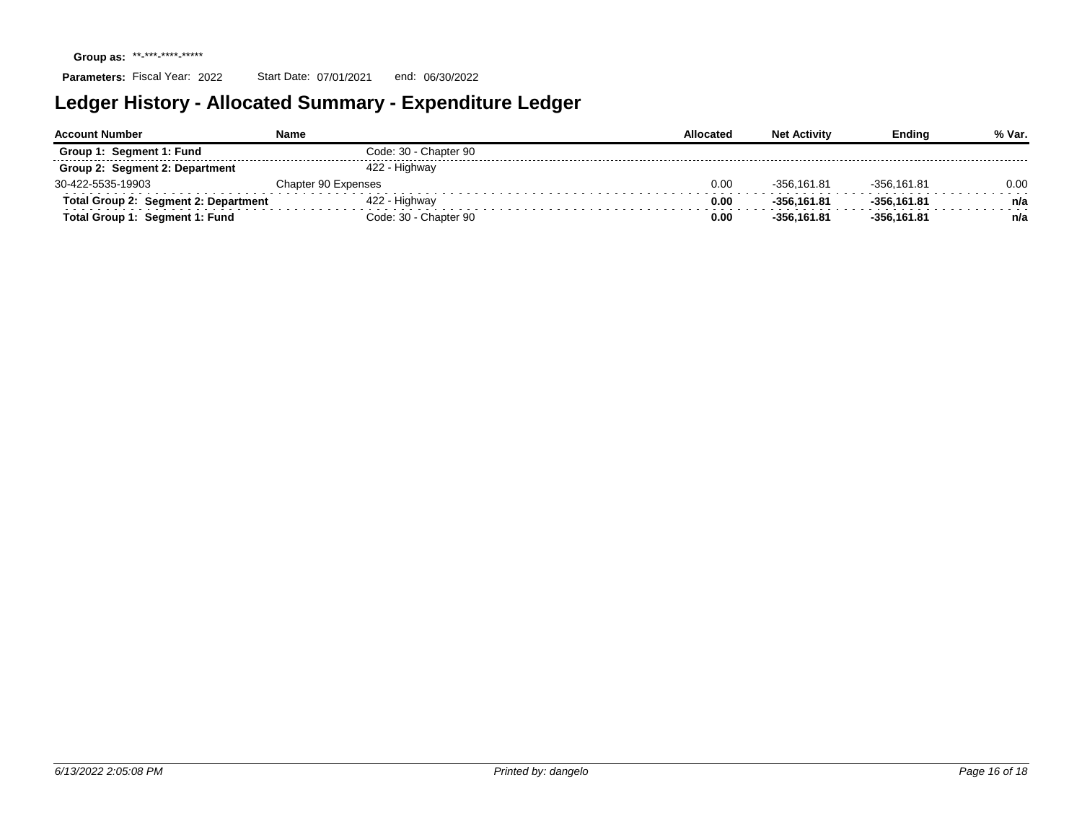| <b>Account Number</b>                | Name                  | Allocated | <b>Net Activity</b> | Endina        | % Var. |
|--------------------------------------|-----------------------|-----------|---------------------|---------------|--------|
| Segment 1: Fund<br>Group 1:          | Code: 30 - Chapter 90 |           |                     |               |        |
| Group 2: Segment 2: Department       | 422 - Highway         |           |                     |               |        |
| 30-422-5535-19903                    | Chapter 90 Expenses   | 0.00      | -356.161.81         | $-356.161.81$ | 0.00   |
| Total Group 2: Segment 2: Department | 422 - Highway         | 0.00      | -356.161.81         | $-356.161.81$ | n/a    |
| Total Group 1: Segment 1: Fund       | Code: 30 - Chapter 90 | 0.00      | -356.161.81         | $-356.161.81$ | n/a    |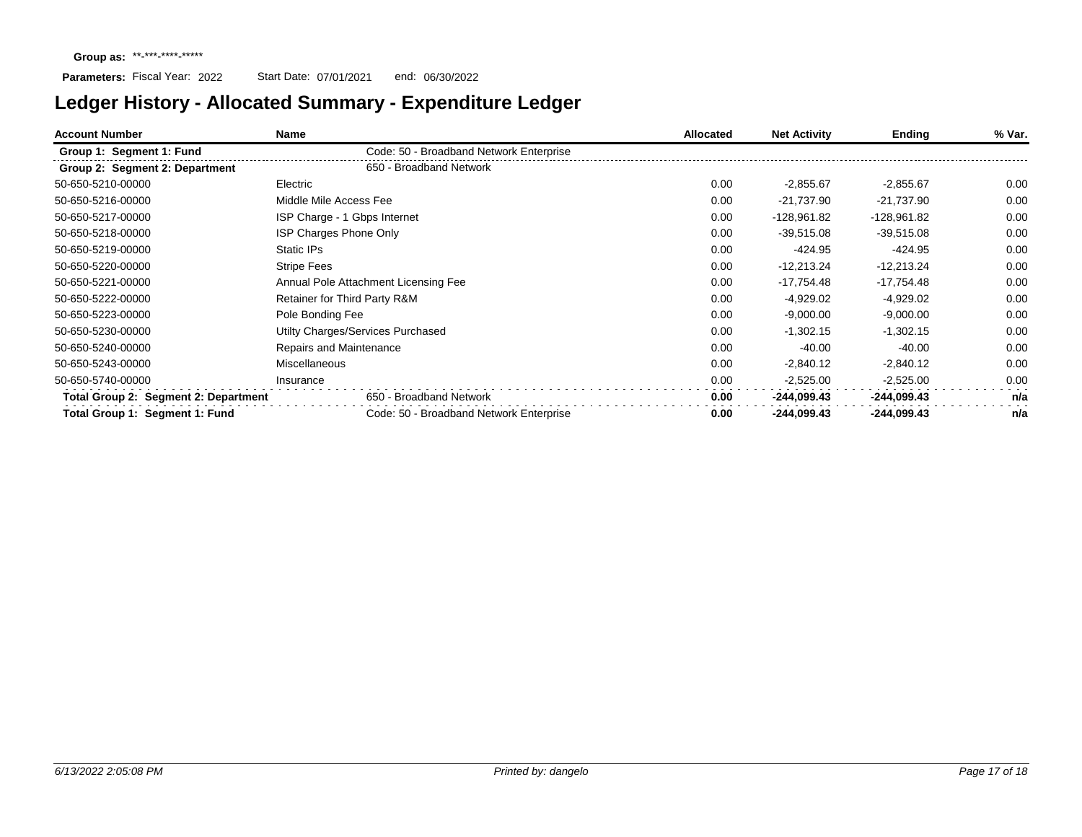| <b>Account Number</b>                | Name                                    | Allocated | <b>Net Activity</b> | Ending        | % Var. |
|--------------------------------------|-----------------------------------------|-----------|---------------------|---------------|--------|
| Group 1: Segment 1: Fund             | Code: 50 - Broadband Network Enterprise |           |                     |               |        |
| Group 2: Segment 2: Department       | 650 - Broadband Network                 |           |                     |               |        |
| 50-650-5210-00000                    | Electric                                | 0.00      | $-2,855.67$         | $-2,855.67$   | 0.00   |
| 50-650-5216-00000                    | Middle Mile Access Fee                  | 0.00      | $-21,737.90$        | $-21,737.90$  | 0.00   |
| 50-650-5217-00000                    | ISP Charge - 1 Gbps Internet            | 0.00      | -128,961.82         | -128,961.82   | 0.00   |
| 50-650-5218-00000                    | <b>ISP Charges Phone Only</b>           | 0.00      | $-39,515.08$        | $-39,515.08$  | 0.00   |
| 50-650-5219-00000                    | Static IPs                              | 0.00      | $-424.95$           | $-424.95$     | 0.00   |
| 50-650-5220-00000                    | <b>Stripe Fees</b>                      | 0.00      | $-12,213.24$        | $-12,213.24$  | 0.00   |
| 50-650-5221-00000                    | Annual Pole Attachment Licensing Fee    | 0.00      | $-17,754.48$        | $-17,754.48$  | 0.00   |
| 50-650-5222-00000                    | Retainer for Third Party R&M            | 0.00      | $-4,929.02$         | $-4,929.02$   | 0.00   |
| 50-650-5223-00000                    | Pole Bonding Fee                        | 0.00      | $-9,000.00$         | $-9,000.00$   | 0.00   |
| 50-650-5230-00000                    | Utilty Charges/Services Purchased       | 0.00      | $-1,302.15$         | $-1,302.15$   | 0.00   |
| 50-650-5240-00000                    | Repairs and Maintenance                 | 0.00      | $-40.00$            | $-40.00$      | 0.00   |
| 50-650-5243-00000                    | <b>Miscellaneous</b>                    | 0.00      | $-2,840.12$         | $-2,840.12$   | 0.00   |
| 50-650-5740-00000                    | Insurance                               | 0.00      | $-2,525.00$         | $-2,525.00$   | 0.00   |
| Total Group 2: Segment 2: Department | 650 - Broadband Network                 | 0.00      | $-244,099.43$       | -244,099.43   | n/a    |
| Total Group 1: Segment 1: Fund       | Code: 50 - Broadband Network Enterprise | 0.00      | -244,099.43         | $-244,099.43$ | n/a    |